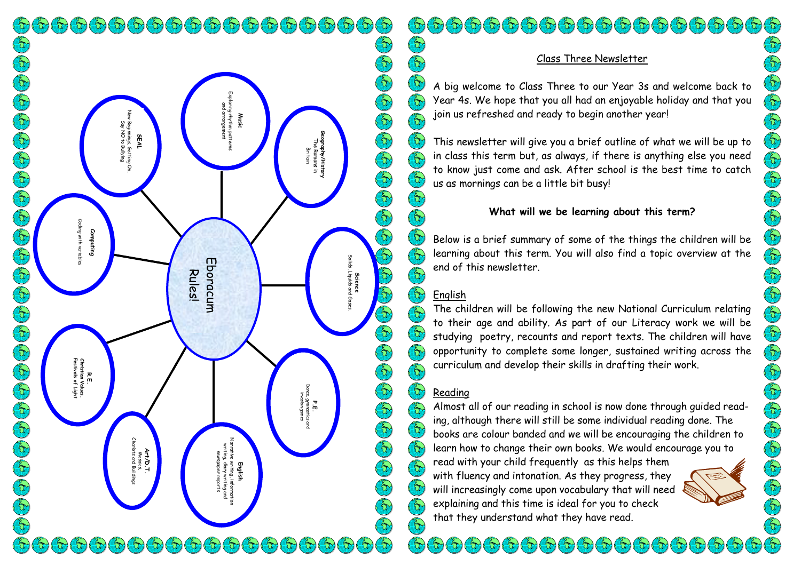$\mathfrak{b}(\mathfrak{b}(\mathfrak{b}(\mathfrak{b}(\mathfrak{b}(\mathfrak{b}(\mathfrak{b}(\mathfrak{b}(\mathfrak{b}(\mathfrak{b}(\mathfrak{b}(\mathfrak{b}(\mathfrak{b}(\mathfrak{b}(\mathfrak{b}(\mathfrak{b}(\mathfrak{b}(\mathfrak{b}(\mathfrak{b}(\mathfrak{b}(\mathfrak{b}(\mathfrak{b}(\mathfrak{b}(\mathfrak{b}(\mathfrak{b}(\mathfrak{b}(\mathfrak{b}(\mathfrak{b}(\mathfrak{b}(\mathfrak{b}(\mathfrak{b}(\mathfr$  $\left(\frac{2}{\sqrt{2}}\right)$ Exploring rhythm patterns nring rhythm patteri<br>and arrangement and arrangement New Beginnings, Getting On, **Music** Beginnings, Getting<br>Say NO to Bullying Say NO to Bullying **SEAL Geography/History** The Romans in **jraphy/Histor**<br>The Romans in<br>Britain Coding with variables ging **Computing** y with var Eboracum Eboracum Rules! R.E.<br>Christian Vc<br>Festivals of **Festivals of Light Christian Values.** P.E.<br>Dance, gymnastics<br>invasion games Dance, gymnastics and invasion games Chariots and Buildings Narrative writing, information writing, diary writing and **Art/D.T**<br>Mosaics,<br>riots and Bui **Art/D.T.** newspaper reports **English**  $\mathcal{F}_{(1)}$   $\mathcal{F}_{(2)}$   $\mathcal{F}_{(3)}$   $\mathcal{F}_{(4)}$  $\mathcal{L}(\tau)$   $\mathcal{L}(\tau)$   $\mathcal{L}(\tau)$   $\mathcal{L}(\tau)$   $\mathcal{L}(\tau)$  $\mathcal{L}(\mathcal{A})$  $\mathcal{L}(\mathcal{L})$  $\infty$  $\infty$ 

# Er) c) gi gi gi gi gi gi gi gi gi gi gi gi gi E  $\left(\begin{matrix} 2 \\ 1 \end{matrix}\right)$ E  $\left(\begin{matrix} 2 \\ 1 \end{matrix}\right)$ E E E  $\left(\overline{\overline{u}}\right)$  $\Theta$ (Er)  $\overline{\mathbf{a}}$  $\left(\begin{matrix} \epsilon_1 \ 0 \end{matrix}\right)$  $\bigcirc$  $\tilde{S}$  $\bigl(\bigl\{ \bigl\{ \bigr\} \bigr)$  $\hat{\Theta}$   $\hat{\Theta}$   $\hat{\Theta}$   $\hat{\Theta}$   $\hat{\Theta}$   $\hat{\Theta}$   $\hat{\Theta}$   $\hat{\Theta}$ E  $\left(\begin{smallmatrix} 2\\ 1\\ 1\\ 1 \end{smallmatrix}\right)$  $\left(\begin{matrix} \epsilon_1 \ 0 \end{matrix}\right)$  $\left(\begin{matrix} \epsilon_1 \\ \epsilon_2 \end{matrix}\right)$  $\bigcirc$  $\left(\begin{smallmatrix} 2\\ 1\end{smallmatrix}\right)$  $\left(\begin{matrix} 2 \\ 1 \end{matrix}\right)$ 3  $\left(\begin{smallmatrix} 2\\ 1\end{smallmatrix}\right)$  $\left(\begin{smallmatrix} 2 & 0 \\ 0 & 1 \end{smallmatrix}\right)$  $\mathcal{L}(\mathcal{L})$  $\mathcal{F}_0(\mathcal{F}_0)$

**Science**<br>s, Liquids and Solids, Liquids and Gases

## Class Three Newsletter

A big welcome to Class Three to our Year 3s and welcome back to Year 4s. We hope that you all had an enjoyable holiday and that you join us refreshed and ready to begin another year!

This newsletter will give you a brief outline of what we will be up to in class this term but, as always, if there is anything else you need to know just come and ask. After school is the best time to catch us as mornings can be a little bit busy!

# **What will we be learning about this term?**

Below is a brief summary of some of the things the children will be learning about this term. You will also find a topic overview at the end of this newsletter.

# English

The children will be following the new National Curriculum relating to their age and ability. As part of our Literacy work we will be studying poetry, recounts and report texts. The children will have opportunity to complete some longer, sustained writing across the curriculum and develop their skills in drafting their work.

# Reading

Almost all of our reading in school is now done through guided reading, although there will still be some individual reading done. The books are colour banded and we will be encouraging the children to learn how to change their own books. We would encourage you to

in 5

read with your child frequently as this helps them with fluency and intonation. As they progress, they will increasingly come upon vocabulary that will need explaining and this time is ideal for you to check that they understand what they have read.

 $(\tau_1)(\tau_2)(\tau_3)(\tau_4)(\tau_5)(\tau_6)(\tau_7)(\tau_8)$